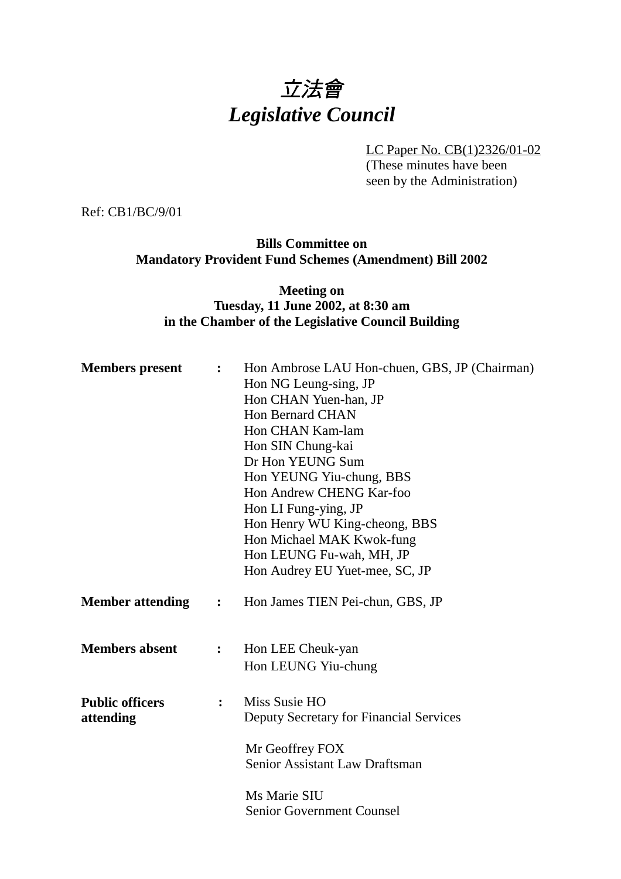# 立法會 *Legislative Council*

LC Paper No. CB(1)2326/01-02 (These minutes have been seen by the Administration)

Ref: CB1/BC/9/01

#### **Bills Committee on Mandatory Provident Fund Schemes (Amendment) Bill 2002**

## **Meeting on Tuesday, 11 June 2002, at 8:30 am in the Chamber of the Legislative Council Building**

| <b>Members</b> present              | $\ddot{\cdot}$ | Hon Ambrose LAU Hon-chuen, GBS, JP (Chairman)<br>Hon NG Leung-sing, JP<br>Hon CHAN Yuen-han, JP<br><b>Hon Bernard CHAN</b><br>Hon CHAN Kam-lam<br>Hon SIN Chung-kai<br>Dr Hon YEUNG Sum<br>Hon YEUNG Yiu-chung, BBS<br>Hon Andrew CHENG Kar-foo<br>Hon LI Fung-ying, JP<br>Hon Henry WU King-cheong, BBS<br>Hon Michael MAK Kwok-fung<br>Hon LEUNG Fu-wah, MH, JP<br>Hon Audrey EU Yuet-mee, SC, JP |
|-------------------------------------|----------------|-----------------------------------------------------------------------------------------------------------------------------------------------------------------------------------------------------------------------------------------------------------------------------------------------------------------------------------------------------------------------------------------------------|
| <b>Member attending</b>             | $\ddot{\cdot}$ | Hon James TIEN Pei-chun, GBS, JP                                                                                                                                                                                                                                                                                                                                                                    |
| <b>Members absent</b>               | $\ddot{\cdot}$ | Hon LEE Cheuk-yan<br>Hon LEUNG Yiu-chung                                                                                                                                                                                                                                                                                                                                                            |
| <b>Public officers</b><br>attending | $\ddot{\cdot}$ | Miss Susie HO<br>Deputy Secretary for Financial Services<br>Mr Geoffrey FOX<br>Senior Assistant Law Draftsman                                                                                                                                                                                                                                                                                       |
|                                     |                | Ms Marie SIU<br><b>Senior Government Counsel</b>                                                                                                                                                                                                                                                                                                                                                    |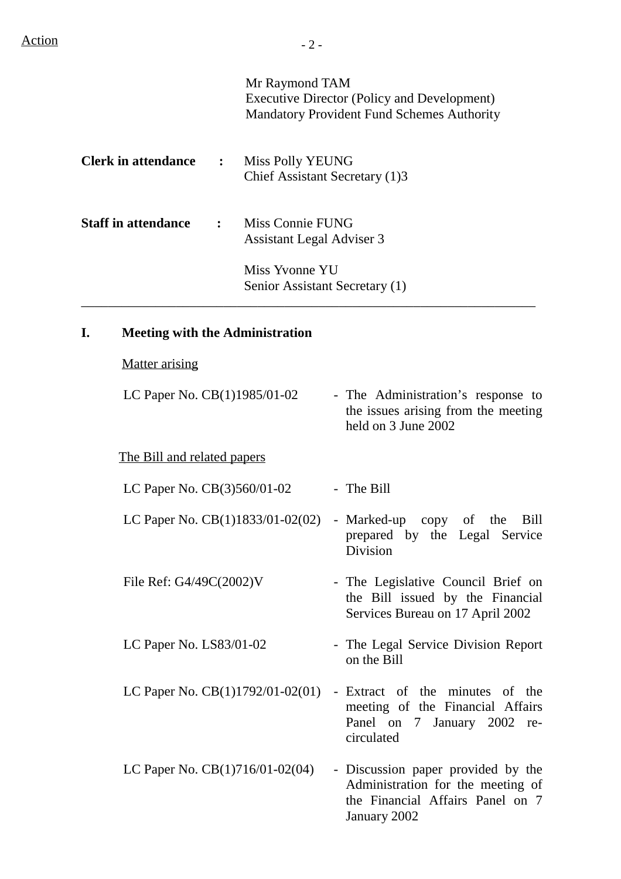| <b>Clerk in attendance</b><br>$\ddot{\cdot}$<br><b>Staff in attendance</b><br>$\ddot{\cdot}$ |                                        |                                                                                                                   | Mr Raymond TAM                                 |  | <b>Executive Director (Policy and Development)</b><br><b>Mandatory Provident Fund Schemes Authority</b>          |
|----------------------------------------------------------------------------------------------|----------------------------------------|-------------------------------------------------------------------------------------------------------------------|------------------------------------------------|--|------------------------------------------------------------------------------------------------------------------|
|                                                                                              |                                        | <b>Miss Polly YEUNG</b><br>Chief Assistant Secretary (1)3<br>Miss Connie FUNG<br><b>Assistant Legal Adviser 3</b> |                                                |  |                                                                                                                  |
|                                                                                              |                                        |                                                                                                                   |                                                |  |                                                                                                                  |
| I.                                                                                           | <b>Meeting with the Administration</b> |                                                                                                                   |                                                |  |                                                                                                                  |
|                                                                                              | <b>Matter arising</b>                  |                                                                                                                   |                                                |  |                                                                                                                  |
|                                                                                              | LC Paper No. CB(1)1985/01-02           |                                                                                                                   |                                                |  | - The Administration's response to<br>the issues arising from the meeting<br>held on 3 June 2002                 |
|                                                                                              | The Bill and related papers            |                                                                                                                   |                                                |  |                                                                                                                  |
|                                                                                              | LC Paper No. $CB(3)560/01-02$          |                                                                                                                   |                                                |  | - The Bill                                                                                                       |
|                                                                                              |                                        |                                                                                                                   | LC Paper No. $CB(1)1833/01-02(02)$ - Marked-up |  | copy of the<br>Bill<br>prepared by the Legal Service<br>Division                                                 |
|                                                                                              | File Ref: G4/49C(2002)V                |                                                                                                                   |                                                |  | - The Legislative Council Brief on<br>the Bill issued by the Financial<br>Services Bureau on 17 April 2002       |
|                                                                                              | LC Paper No. $LS83/01-02$              |                                                                                                                   |                                                |  | - The Legal Service Division Report<br>on the Bill                                                               |
|                                                                                              |                                        |                                                                                                                   | LC Paper No. $CB(1)1792/01-02(01)$             |  | - Extract of the minutes of the<br>meeting of the Financial Affairs<br>Panel on 7 January 2002 re-<br>circulated |
|                                                                                              | LC Paper No. $CB(1)716/01-02(04)$      |                                                                                                                   |                                                |  | - Discussion paper provided by the<br>Administration for the meeting of<br>the Financial Affairs Panel on 7      |

January 2002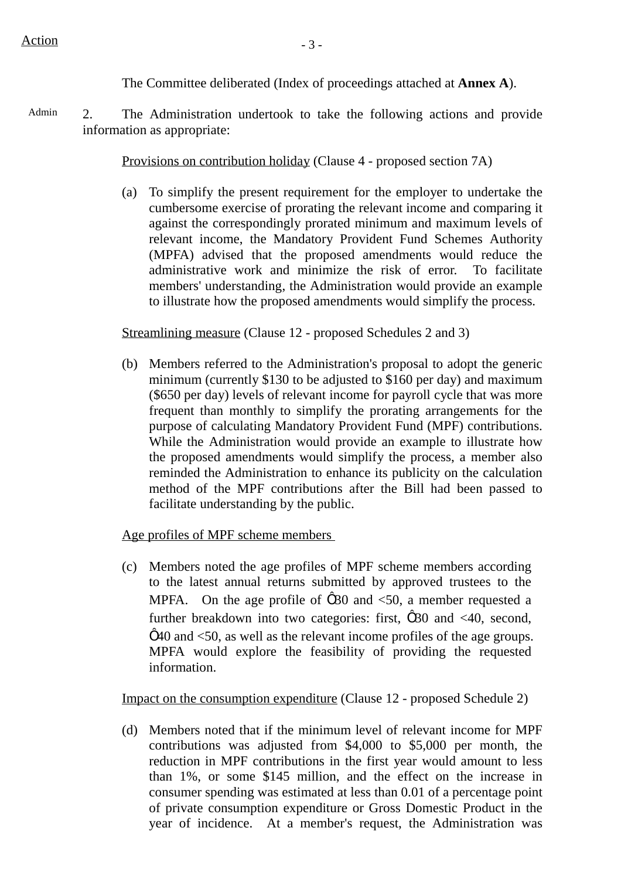The Committee deliberated (Index of proceedings attached at **Annex A**).

Admin 2. The Administration undertook to take the following actions and provide information as appropriate:

Provisions on contribution holiday (Clause 4 - proposed section 7A)

(a) To simplify the present requirement for the employer to undertake the cumbersome exercise of prorating the relevant income and comparing it against the correspondingly prorated minimum and maximum levels of relevant income, the Mandatory Provident Fund Schemes Authority (MPFA) advised that the proposed amendments would reduce the administrative work and minimize the risk of error. To facilitate members' understanding, the Administration would provide an example to illustrate how the proposed amendments would simplify the process.

Streamlining measure (Clause 12 - proposed Schedules 2 and 3)

(b) Members referred to the Administration's proposal to adopt the generic minimum (currently \$130 to be adjusted to \$160 per day) and maximum (\$650 per day) levels of relevant income for payroll cycle that was more frequent than monthly to simplify the prorating arrangements for the purpose of calculating Mandatory Provident Fund (MPF) contributions. While the Administration would provide an example to illustrate how the proposed amendments would simplify the process, a member also reminded the Administration to enhance its publicity on the calculation method of the MPF contributions after the Bill had been passed to facilitate understanding by the public.

Age profiles of MPF scheme members

(c) Members noted the age profiles of MPF scheme members according to the latest annual returns submitted by approved trustees to the MPFA. On the age profile of  $\hat{1}$  30 and  $\langle 50, a \rangle$  member requested a further breakdown into two categories: first,  $\hat{1}$  30 and <40, second,  $\hat{p}$  40 and  $\langle$ 50, as well as the relevant income profiles of the age groups. MPFA would explore the feasibility of providing the requested information.

Impact on the consumption expenditure (Clause 12 - proposed Schedule 2)

(d) Members noted that if the minimum level of relevant income for MPF contributions was adjusted from \$4,000 to \$5,000 per month, the reduction in MPF contributions in the first year would amount to less than 1%, or some \$145 million, and the effect on the increase in consumer spending was estimated at less than 0.01 of a percentage point of private consumption expenditure or Gross Domestic Product in the year of incidence. At a member's request, the Administration was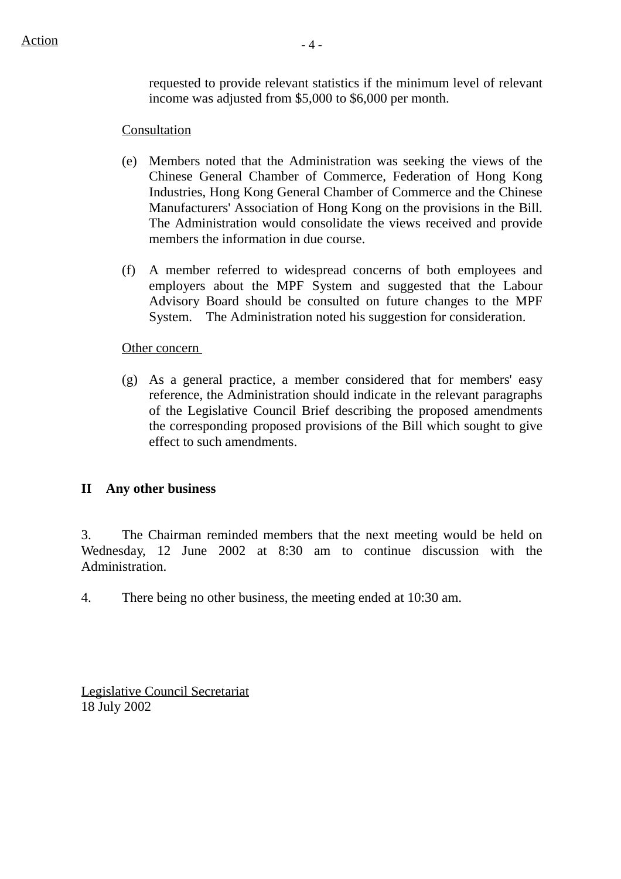requested to provide relevant statistics if the minimum level of relevant income was adjusted from \$5,000 to \$6,000 per month.

# Consultation

- (e) Members noted that the Administration was seeking the views of the Chinese General Chamber of Commerce, Federation of Hong Kong Industries, Hong Kong General Chamber of Commerce and the Chinese Manufacturers' Association of Hong Kong on the provisions in the Bill. The Administration would consolidate the views received and provide members the information in due course.
- (f) A member referred to widespread concerns of both employees and employers about the MPF System and suggested that the Labour Advisory Board should be consulted on future changes to the MPF System. The Administration noted his suggestion for consideration.

#### Other concern

(g) As a general practice, a member considered that for members' easy reference, the Administration should indicate in the relevant paragraphs of the Legislative Council Brief describing the proposed amendments the corresponding proposed provisions of the Bill which sought to give effect to such amendments.

## **II Any other business**

3. The Chairman reminded members that the next meeting would be held on Wednesday, 12 June 2002 at 8:30 am to continue discussion with the Administration.

4. There being no other business, the meeting ended at 10:30 am.

Legislative Council Secretariat 18 July 2002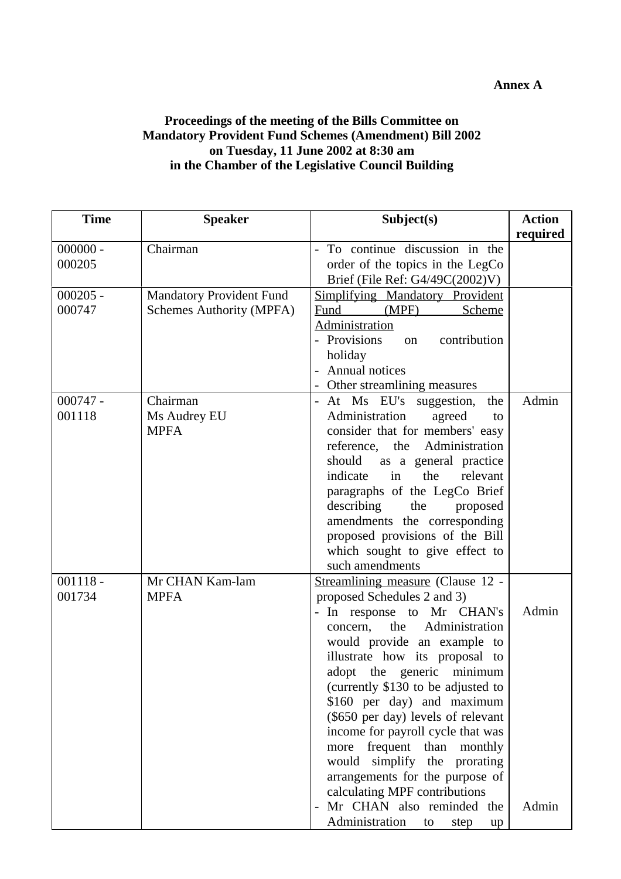#### **Annex A**

#### **Proceedings of the meeting of the Bills Committee on Mandatory Provident Fund Schemes (Amendment) Bill 2002 on Tuesday, 11 June 2002 at 8:30 am in the Chamber of the Legislative Council Building**

| <b>Time</b> | <b>Speaker</b>                  | Subject(s)                          | <b>Action</b> |
|-------------|---------------------------------|-------------------------------------|---------------|
|             |                                 |                                     | required      |
| $000000 -$  | Chairman                        | To continue discussion in the<br>÷, |               |
| 000205      |                                 | order of the topics in the LegCo    |               |
|             |                                 | Brief (File Ref: $G4/49C(2002)V$ )  |               |
| $000205 -$  | <b>Mandatory Provident Fund</b> | Simplifying Mandatory Provident     |               |
| 000747      | Schemes Authority (MPFA)        | (MPF)<br>Fund<br>Scheme             |               |
|             |                                 | Administration                      |               |
|             |                                 | - Provisions<br>contribution<br>on  |               |
|             |                                 | holiday                             |               |
|             |                                 | Annual notices                      |               |
|             | Chairman                        | - Other streamlining measures       | Admin         |
| $000747 -$  |                                 | - At Ms EU's suggestion,<br>the     |               |
| 001118      | Ms Audrey EU                    | Administration<br>agreed<br>to      |               |
|             | <b>MPFA</b>                     | consider that for members' easy     |               |
|             |                                 | reference, the<br>Administration    |               |
|             |                                 | should<br>as a general practice     |               |
|             |                                 | indicate<br>in<br>the<br>relevant   |               |
|             |                                 | paragraphs of the LegCo Brief       |               |
|             |                                 | describing<br>the<br>proposed       |               |
|             |                                 | amendments the corresponding        |               |
|             |                                 | proposed provisions of the Bill     |               |
|             |                                 | which sought to give effect to      |               |
|             |                                 | such amendments                     |               |
| $001118 -$  | Mr CHAN Kam-lam                 | Streamlining measure (Clause 12 -   |               |
| 001734      | <b>MPFA</b>                     | proposed Schedules 2 and 3)         |               |
|             |                                 | - In response to Mr CHAN's          | Admin         |
|             |                                 | Administration<br>the<br>concern,   |               |
|             |                                 | would provide an example to         |               |
|             |                                 | illustrate how its proposal to      |               |
|             |                                 | adopt the generic<br>minimum        |               |
|             |                                 | (currently \$130 to be adjusted to  |               |
|             |                                 | \$160 per day) and maximum          |               |
|             |                                 | (\$650 per day) levels of relevant  |               |
|             |                                 | income for payroll cycle that was   |               |
|             |                                 | frequent than monthly<br>more       |               |
|             |                                 | would simplify the prorating        |               |
|             |                                 | arrangements for the purpose of     |               |
|             |                                 | calculating MPF contributions       |               |
|             |                                 | Mr CHAN also reminded the           | Admin         |
|             |                                 | Administration<br>to<br>step<br>up  |               |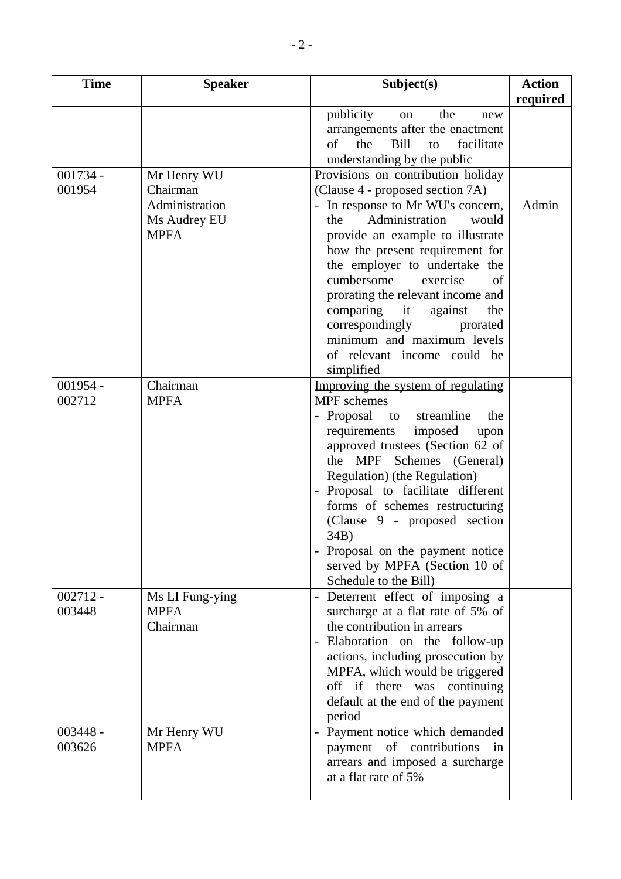| <b>Time</b> | <b>Speaker</b>          | Subject(s)                                                    | <b>Action</b> |
|-------------|-------------------------|---------------------------------------------------------------|---------------|
|             |                         |                                                               | required      |
|             |                         | publicity<br>the<br>on<br>new                                 |               |
|             |                         | arrangements after the enactment                              |               |
|             |                         | the<br>Bill<br>facilitate<br>of<br>to                         |               |
|             |                         | understanding by the public                                   |               |
| $001734 -$  | Mr Henry WU             | Provisions on contribution holiday                            |               |
| 001954      | Chairman                | (Clause 4 - proposed section 7A)                              |               |
|             | Administration          | In response to Mr WU's concern,                               | Admin         |
|             | Ms Audrey EU            | Administration<br>would<br>the                                |               |
|             | <b>MPFA</b>             | provide an example to illustrate                              |               |
|             |                         | how the present requirement for                               |               |
|             |                         | the employer to undertake the                                 |               |
|             |                         | cumbersome<br>exercise<br>of                                  |               |
|             |                         | prorating the relevant income and                             |               |
|             |                         | comparing it<br>against<br>the                                |               |
|             |                         | correspondingly<br>prorated                                   |               |
|             |                         | minimum and maximum levels                                    |               |
|             |                         | of relevant income could be                                   |               |
|             |                         | simplified                                                    |               |
| $001954 -$  | Chairman                | Improving the system of regulating                            |               |
| 002712      | <b>MPFA</b>             | <b>MPF</b> schemes                                            |               |
|             |                         | - Proposal to streamline<br>the                               |               |
|             |                         | requirements<br>imposed<br>upon                               |               |
|             |                         | approved trustees (Section 62 of                              |               |
|             |                         | Schemes (General)<br>the<br><b>MPF</b>                        |               |
|             |                         | Regulation) (the Regulation)                                  |               |
|             |                         | Proposal to facilitate different                              |               |
|             |                         | forms of schemes restructuring                                |               |
|             |                         | (Clause 9 - proposed section                                  |               |
|             |                         | 34B)                                                          |               |
|             |                         | Proposal on the payment notice                                |               |
|             |                         | served by MPFA (Section 10 of                                 |               |
|             |                         | Schedule to the Bill)                                         |               |
| $002712 -$  | Ms LI Fung-ying         | Deterrent effect of imposing a                                |               |
| 003448      | <b>MPFA</b><br>Chairman | surcharge at a flat rate of 5% of                             |               |
|             |                         | the contribution in arrears                                   |               |
|             |                         | Elaboration on the follow-up                                  |               |
|             |                         | actions, including prosecution by                             |               |
|             |                         | MPFA, which would be triggered<br>off if there was continuing |               |
|             |                         | default at the end of the payment                             |               |
|             |                         | period                                                        |               |
| $003448 -$  | Mr Henry WU             | Payment notice which demanded                                 |               |
| 003626      | <b>MPFA</b>             | payment of contributions<br>in                                |               |
|             |                         | arrears and imposed a surcharge                               |               |
|             |                         | at a flat rate of 5%                                          |               |
|             |                         |                                                               |               |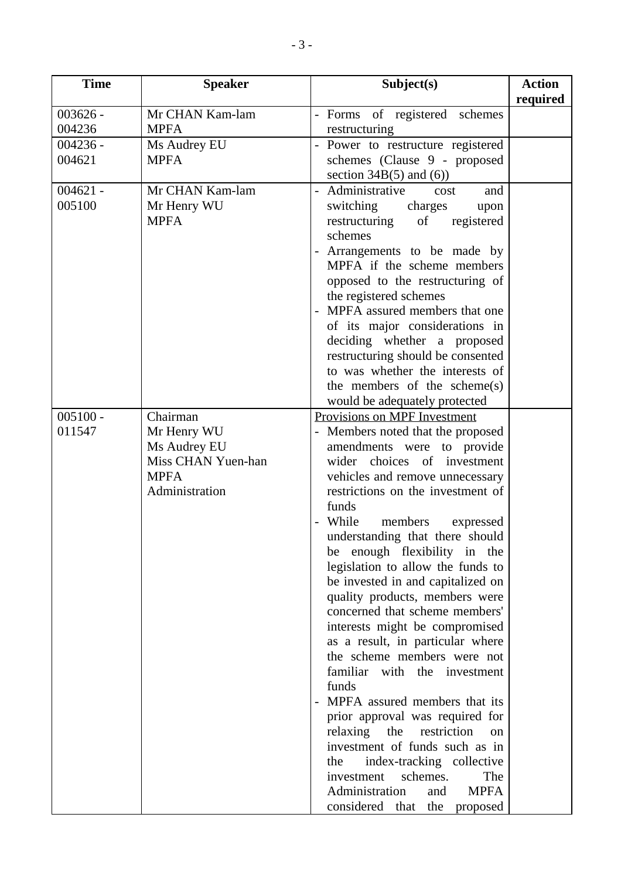| <b>Time</b> | <b>Speaker</b>     | Subject(s)                                                      | <b>Action</b> |
|-------------|--------------------|-----------------------------------------------------------------|---------------|
|             |                    |                                                                 | required      |
| $003626 -$  | Mr CHAN Kam-lam    | - Forms of registered schemes                                   |               |
| 004236      | <b>MPFA</b>        | restructuring                                                   |               |
| $004236 -$  | Ms Audrey EU       | Power to restructure registered                                 |               |
| 004621      | <b>MPFA</b>        | schemes (Clause 9 - proposed                                    |               |
|             |                    | section $34B(5)$ and $(6)$ )                                    |               |
| $004621 -$  | Mr CHAN Kam-lam    | - Administrative<br>and<br>cost                                 |               |
| 005100      | Mr Henry WU        | switching<br>charges<br>upon                                    |               |
|             | <b>MPFA</b>        | restructuring<br>of<br>registered                               |               |
|             |                    | schemes                                                         |               |
|             |                    | - Arrangements to be made by                                    |               |
|             |                    | MPFA if the scheme members                                      |               |
|             |                    | opposed to the restructuring of                                 |               |
|             |                    | the registered schemes                                          |               |
|             |                    | MPFA assured members that one                                   |               |
|             |                    | of its major considerations in                                  |               |
|             |                    | deciding whether a proposed                                     |               |
|             |                    | restructuring should be consented                               |               |
|             |                    | to was whether the interests of                                 |               |
|             |                    | the members of the scheme(s)                                    |               |
|             |                    | would be adequately protected                                   |               |
| $005100 -$  | Chairman           | Provisions on MPF Investment                                    |               |
| 011547      | Mr Henry WU        | - Members noted that the proposed                               |               |
|             | Ms Audrey EU       | amendments were to provide                                      |               |
|             | Miss CHAN Yuen-han | wider choices of investment                                     |               |
|             | <b>MPFA</b>        | vehicles and remove unnecessary                                 |               |
|             | Administration     | restrictions on the investment of                               |               |
|             |                    | funds                                                           |               |
|             |                    | While<br>members<br>expressed                                   |               |
|             |                    | understanding that there should<br>be enough flexibility in the |               |
|             |                    | legislation to allow the funds to                               |               |
|             |                    | be invested in and capitalized on                               |               |
|             |                    | quality products, members were                                  |               |
|             |                    | concerned that scheme members'                                  |               |
|             |                    | interests might be compromised                                  |               |
|             |                    | as a result, in particular where                                |               |
|             |                    | the scheme members were not                                     |               |
|             |                    | familiar with the investment                                    |               |
|             |                    | funds                                                           |               |
|             |                    | MPFA assured members that its                                   |               |
|             |                    | prior approval was required for                                 |               |
|             |                    | relaxing<br>restriction<br>the<br><sub>on</sub>                 |               |
|             |                    | investment of funds such as in                                  |               |
|             |                    | index-tracking collective<br>the                                |               |
|             |                    | schemes.<br>The<br>investment                                   |               |
|             |                    | Administration<br><b>MPFA</b><br>and                            |               |
|             |                    | considered that the<br>proposed                                 |               |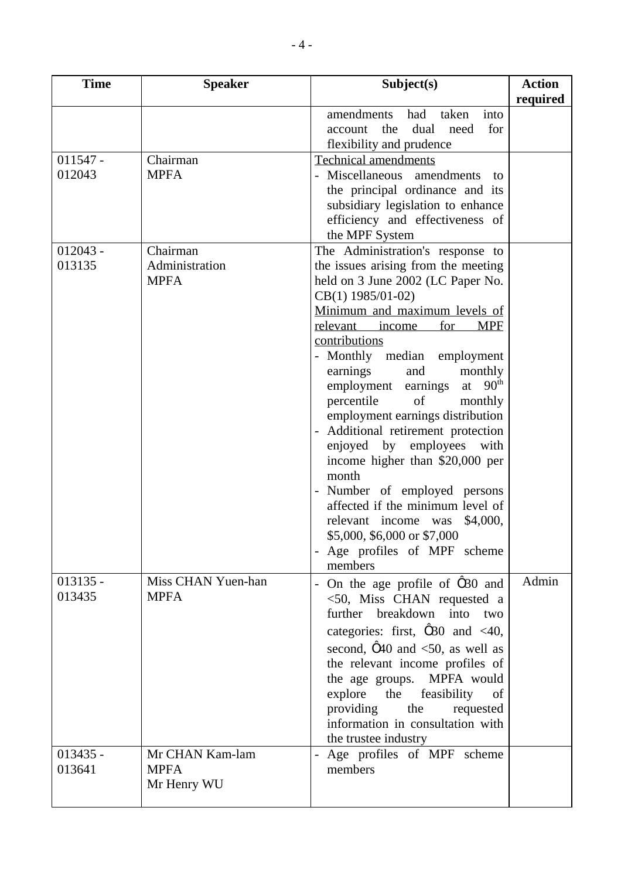| <b>Time</b> | <b>Speaker</b>     | Subject(s)                                    | <b>Action</b> |
|-------------|--------------------|-----------------------------------------------|---------------|
|             |                    |                                               | required      |
|             |                    | amendments<br>taken<br>into<br>had            |               |
|             |                    | for<br>dual<br>need<br>the<br>account         |               |
|             |                    | flexibility and prudence                      |               |
| $011547 -$  | Chairman           | <b>Technical amendments</b>                   |               |
| 012043      | <b>MPFA</b>        | - Miscellaneous amendments<br>to              |               |
|             |                    | the principal ordinance and its               |               |
|             |                    | subsidiary legislation to enhance             |               |
|             |                    | efficiency and effectiveness of               |               |
|             |                    | the MPF System                                |               |
| $012043 -$  | Chairman           | The Administration's response to              |               |
| 013135      | Administration     | the issues arising from the meeting           |               |
|             | <b>MPFA</b>        | held on 3 June 2002 (LC Paper No.             |               |
|             |                    | CB(1) 1985/01-02)                             |               |
|             |                    | Minimum and maximum levels of                 |               |
|             |                    | relevant income<br>for<br><b>MPF</b>          |               |
|             |                    | contributions                                 |               |
|             |                    | - Monthly median<br>employment                |               |
|             |                    | earnings<br>and<br>monthly                    |               |
|             |                    | at $90th$<br>employment earnings              |               |
|             |                    | percentile<br>of<br>monthly                   |               |
|             |                    | employment earnings distribution              |               |
|             |                    | Additional retirement protection              |               |
|             |                    | enjoyed by employees<br>with                  |               |
|             |                    | income higher than \$20,000 per               |               |
|             |                    | month                                         |               |
|             |                    | Number of employed persons                    |               |
|             |                    | affected if the minimum level of              |               |
|             |                    | relevant income was<br>\$4,000,               |               |
|             |                    | \$5,000, \$6,000 or \$7,000                   |               |
|             |                    | - Age profiles of MPF scheme                  |               |
|             |                    | members                                       |               |
| $013135 -$  | Miss CHAN Yuen-han | On the age profile of 1 30 and                | Admin         |
| 013435      | <b>MPFA</b>        | $<$ 50, Miss CHAN requested a                 |               |
|             |                    | further breakdown into<br>two                 |               |
|             |                    | categories: first, $\hat{1}$ 30 and <40,      |               |
|             |                    | second, $\hat{\imath}$ 40 and <50, as well as |               |
|             |                    | the relevant income profiles of               |               |
|             |                    | the age groups.<br>MPFA would                 |               |
|             |                    | explore<br>feasibility<br>the<br>of           |               |
|             |                    | providing<br>the<br>requested                 |               |
|             |                    | information in consultation with              |               |
|             |                    | the trustee industry                          |               |
| $013435 -$  | Mr CHAN Kam-lam    |                                               |               |
| 013641      | <b>MPFA</b>        | Age profiles of MPF scheme<br>members         |               |
|             | Mr Henry WU        |                                               |               |
|             |                    |                                               |               |
|             |                    |                                               |               |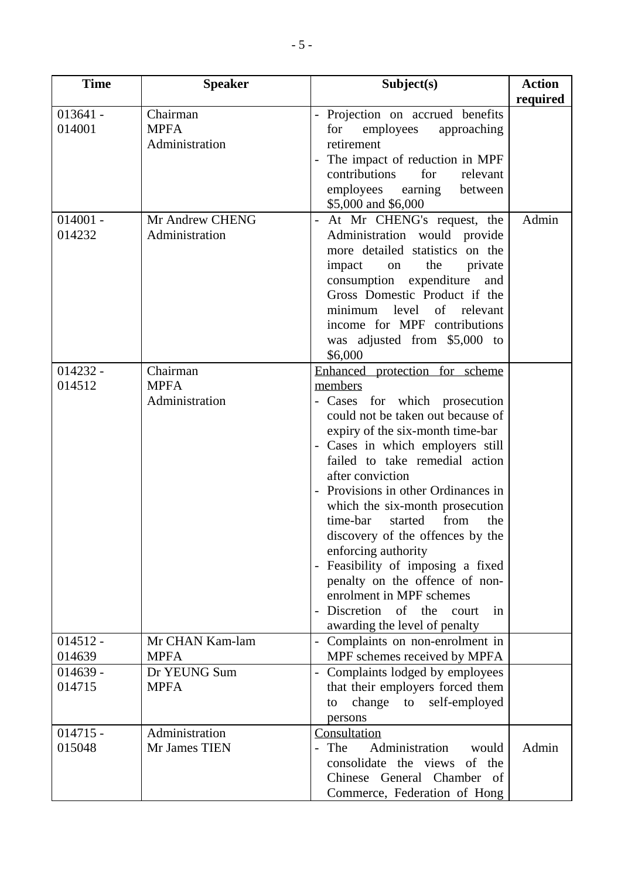| <b>Time</b>          | <b>Speaker</b>                            | Subject(s)                                                                                                                                                                                                                                                                                                                                                                                                                                                                                                                                                                                   | <b>Action</b> |
|----------------------|-------------------------------------------|----------------------------------------------------------------------------------------------------------------------------------------------------------------------------------------------------------------------------------------------------------------------------------------------------------------------------------------------------------------------------------------------------------------------------------------------------------------------------------------------------------------------------------------------------------------------------------------------|---------------|
|                      |                                           |                                                                                                                                                                                                                                                                                                                                                                                                                                                                                                                                                                                              | required      |
| $013641 -$<br>014001 | Chairman<br><b>MPFA</b><br>Administration | - Projection on accrued benefits<br>employees<br>for<br>approaching<br>retirement<br>The impact of reduction in MPF<br>contributions<br>for<br>relevant<br>employees earning<br>between<br>\$5,000 and \$6,000                                                                                                                                                                                                                                                                                                                                                                               |               |
| $014001 -$<br>014232 | Mr Andrew CHENG<br>Administration         | At Mr CHENG's request, the<br>Administration would provide<br>more detailed statistics on the<br>the<br>impact<br>private<br>on<br>consumption expenditure<br>and<br>Gross Domestic Product if the<br>level<br>of<br>relevant<br>minimum<br>income for MPF contributions<br>was adjusted from \$5,000 to<br>\$6,000                                                                                                                                                                                                                                                                          | Admin         |
| $014232 -$<br>014512 | Chairman<br><b>MPFA</b><br>Administration | Enhanced protection for scheme<br>members<br>- Cases for which prosecution<br>could not be taken out because of<br>expiry of the six-month time-bar<br>- Cases in which employers still<br>failed to take remedial action<br>after conviction<br>Provisions in other Ordinances in<br>which the six-month prosecution<br>time-bar<br>started<br>from<br>the<br>discovery of the offences by the<br>enforcing authority<br>Feasibility of imposing a fixed<br>penalty on the offence of non-<br>enrolment in MPF schemes<br>Discretion of the<br>court<br>in<br>awarding the level of penalty |               |
| $014512 -$<br>014639 | Mr CHAN Kam-lam<br><b>MPFA</b>            | Complaints on non-enrolment in<br>MPF schemes received by MPFA                                                                                                                                                                                                                                                                                                                                                                                                                                                                                                                               |               |
| $014639 -$<br>014715 | Dr YEUNG Sum<br><b>MPFA</b>               | Complaints lodged by employees<br>that their employers forced them<br>change to self-employed<br>to<br>persons                                                                                                                                                                                                                                                                                                                                                                                                                                                                               |               |
| $014715 -$<br>015048 | Administration<br>Mr James TIEN           | Consultation<br>- The<br>Administration<br>would<br>consolidate the views<br>of the<br>Chinese General Chamber of<br>Commerce, Federation of Hong                                                                                                                                                                                                                                                                                                                                                                                                                                            | Admin         |